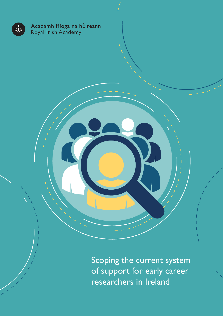

of support for early career researchers in Ireland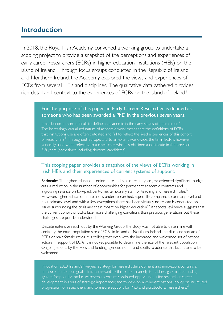## **Introduction**

In 2018, the Royal Irish Academy convened a working group to undertake a scoping project to provide a snapshot of the perceptions and experiences of early career researchers (ECRs) in higher education institutions (HEIs) on the island of Ireland. Through focus groups conducted in the Republic of Ireland and Northern Ireland, the Academy explored the views and experiences of ECRs from several HEIs and disciplines. The qualitative data gathered provides rich detail and context to the experiences of ECRs on the island of Ireland.<sup>i</sup>

### For the purpose of this paper, an Early Career Researcher is defined as someone who has been awarded a PhD in the previous seven years.

It has become more difficult to define an academic in the early stages of their career.<sup>"</sup> The increasingly casualised nature of academic work means that the definitions of ECRs that institutions use are often outdated and fail to reflect the lived experiences of this cohort of researchers.<sup>"</sup> Throughout Europe, and to an extent worldwide, the term ECR is however generally used when referring to a researcher who has obtained a doctorate in the previous 5-8 years (sometimes including doctoral candidates).

### This scoping paper provides a snapshot of the views of ECRs working in Irish HEIs and their experiences of current systems of support.

Rationale: The higher education sector in Ireland has, in recent years, experienced significant budget cuts, a reduction in the number of opportunities for permanent academic contracts and a growing reliance on low-paid, part-time, temporary staff for teaching and research roles.<sup>iv</sup> However, higher education in Ireland is under-researched, especially compared to primary level and post-primary level, and with a few exceptions 'there has been virtually no research conducted on issues surrounding the crisis and their impact on higher education'.<sup>V</sup> Anecdotal evidence suggests that the current cohort of ECRs face more challenging conditions than previous generations but these challenges are poorly understood.

Despite extensive reach out by the Working Group, the study was not able to determine with certainty the exact population size of ECRs in Ireland or Northern Ireland, the discipline spread of ECRs or male:female ratios. It is striking that even with the increased and welcomed set of national actions in support of ECRs it is not yet possible to determine the size of the relevant population. Ongoing efforts by the HEIs and funding agencies north, and south, to address this lacuna are to be welcomed.

Innovation 2020, Ireland's five-year strategy for research, development and innovation, contains a number of ambitious goals directly relevant to this cohort, namely: to address gaps in the funding system for postdoctoral researchers; to ensure continued opportunities for researcher career development in areas of strategic importance; and to develop a coherent national policy on structured progression for researchers, and to ensure support for PhD and postdoctoral researchers.<sup>VI</sup>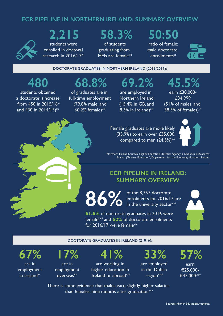## **ECR PIPELINE IN NORTHERN IRELAND: SUMMARY OVERVIEW**



## **2,215**  students were enrolled in doctoral research in 2016/17<sup>vii</sup>

# **58.3%**

of students graduating from HEIs are female<sup>viii</sup>

# **50:50**

ratio of female: male doctorate enrollmentsix



**DOCTORATE GRADUATES IN NORTHERN IRELAND (2016/2017):**

# **480**

students obtained a doctorate<sup>x</sup> (increase from 450 in 2015/16xi and 430 in 2014/15)<sup>xii</sup>

# **68.8%**

of graduates are in full-time employment (79.8% male, and  $60.2%$  female) $x$ iii

are employed in Northern Ireland (15.4% in GB, and 8.3% in Ireland) $x$ iv

**69.2%** 

earn £30,000- £34,999 (51% of males, and 38.5% of females) $x^{\prime\prime}$ 

**45.5%** 



Female graduates are more likely (35.9%) to earn over £35,000, compared to men  $(24.5%)^{\text{xvi}}$ 



Northern Ireland Sources: Higher Education Statistics Agency & Statistics & Research Branch (Tertiary Education), Department for the Economy, Northern Ireland

## **ECR PIPELINE IN IRELAND: SUMMARY OVERVIEW**

**86% The 8,357 doctorate**<br> **86% of the 8,357 doctorate**<br>
in the university sector enrolments for 2016/17 are in the university sectorxvil

**51.5%** of doctorate graduates in 2016 were femalexviii and **52%** of doctorate enrolments for 2016/17 were femalexix



#### **DOCTORATE GRADUATES IN IRELAND (21016):**

**67%**  are in employment in Ireland $\mathsf{x}$ 



are in employment overseas<sup>xxi</sup>

**41%**  are working in higher education in Ireland or abroad<sup>xxii</sup> **33%** 

are employed in the Dublin region<sup>xxiii</sup>

**57%** 

earn €25,000- €45,000xxiv

There is some evidence that males earn slightly higher salaries than females, nine months after graduation $xxy$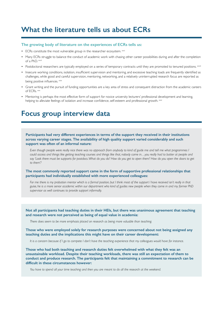# **What the literature tells us about ECRs**

#### **The growing body of literature on the experiences of ECRs tells us:**

- ECRs constitute the most vulnerable group in the researcher ecosystem. xxvi
- Many ECRs struggle to balance the conduct of academic work with chasing other career possibilities during and after the completion of a PhD.  $x$ wii
- Postdoctoral researchers are typically employed on a series of temporary contracts until they are promoted to tenured positions.  $x^{\text{sc}}$
- Insecure working conditions, isolation, insufficient supervision and mentoring, and excessive teaching loads are frequently identified as challenges, while good and careful supervision, mentoring, networking, and a relatively uninterrupted research focus are reported as being positive influences. **xxix**
- Grant writing and the pursuit of funding opportunities are a key area of stress and consequent distraction from the academic careers of ECRs.  $\frac{1}{2}$
- Mentoring is perhaps the most effective form of support for novice university lecturers' professional development and learning, helping to alleviate feelings of isolation and increase confidence, self-esteem and professional growth. <sup>xoxi</sup>

## **Focus group interview data**

**Participants had very different experiences in terms of the support they received in their institutions across varying career stages. The availability of high quality support varied considerably and such support was often of an informal nature:** 

*Even though people were really nice there was no approach from anybody to kind of guide me and tell me what programmes I could access and things like getting teaching courses and things like that, nobody came in…you really had to batter at people and say 'Look there must be supports for postdocs. What do you do? How do you get to open them? How do you open the doors to get to them'?*

**The most commonly reported support came in the form of supportive professional relationships that participants had individually established with more experienced colleagues:**

*For me there is my probation mentor which is a formal position, but I think most of the support I have received isn't really in that guise, he is a more senior academic within our department who kind of guides new people when they come in and my former PhD supervisor as well continues to provide support informally.*

**Not all participants had teaching duties in their HEIs, but there was unanimous agreement that teaching and research were not perceived as being of equal value in academia:**

*There does seem to be more emphasis placed on research as being more valuable than teaching.*

**Those who were employed solely for research purposes were concerned about not being assigned any teaching duties and the implications this might have on their career development:**

*It is a concern because if I go to compete I don't have the teaching experience that my colleagues would have for instance.*

**Those who had both teaching and research duties felt overwhelmed with what they felt was an unsustainable workload. Despite their teaching workloads, there was still an expectation of them to conduct and produce research. The participants felt that maintaining a commitment to research can be difficult in these circumstances however:**

*You have to spend all your time teaching and then you are meant to do all the research at the weekend.*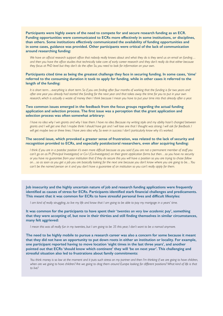**Participants were highly aware of the need to compete for and secure research funding as an ECR. Funding opportunities were communicated to ECRs more effectively in some institutions, or disciplines, than others. Some institutions effectively communicated the availability of funding opportunities and in some cases, guidance was provided. Other participants were critical of the lack of communication around researching funding:**

We have an official research support office that nobody really knows about and what they do is they send us an email on funding... and then you have the office studies that technically take care of early career research and they don't really do that either because *they focus at PhD level but they don't do the after. So, you need to look for information on your own.*

#### **Participants cited time as being the greatest challenge they face in securing funding. In some cases, 'time' referred to the consuming duration it took to apply for funding, while in other cases it referred to the length of the funding:**

It is short term...everything is short term. So if you are finding after four months of working that the funding is for two years and *after one year you already had started the funding for the next year and that takes away the time for you to put in your own research, which is actually a waste of money then I think because I mean you have to put your time into that already after a year.*

#### **Two common issues emerged in the feedback from the focus groups regarding the actual funding application and selection process. The first issue was a perception that the grant application and selection process was often somewhat arbitrary:**

I have no idea why I win grants and why I lose them. I have no idea. Because my writing style and my ability hasn't changed between grants and I will get one that I maybe think I should have got and I will lose one that I thought was strong. I will ask for feedback. I *will get maybe two or three lines. I have zero idea why. So even in success I don't particularly know why it's worked.*

#### **The second issue, which provoked a greater sense of frustration, was related to the lack of security and recognition provided to ECRs, and especially postdoctoral researchers, even after acquiring funding:**

I think if you are in a postdoc position it's even more difficult because as you said if you are not a permanent member of staff you *can't go on as PI (Principal Investigator) or Co-I (Co-Investigator) on their grant application forms but then…so you have no security or you have no guarantee from your institution that if they do secure this you will have a position so you are trying to chase follow on…so as soon as you get a job you are basically looking for the next one because you don't know where you are going to be…You can't be the named person on it and you don't have a guarantee of an institution so you can't really apply for them.*

**Job insecurity and the highly uncertain nature of job and research funding applications were frequently identified as causes of stress for ECRs. Participants identified stark financial challenges and predicaments. This meant that it was common for ECRs to have stressful personal lives and difficult lifestyles:**

*I am kind of really struggling...to live my life and know that I am going to be able to pay my mortgage in a years' time.*

**It was common for the participants to have spent their '***twenties on very low academic pay***', something that they were accepting of, but now in their thirties and still finding themselves in similar circumstances, many felt aggrieved:**

*I mean this was all really fun in my twenties, but I am going to be 35 this year, I don't want to be a nomad anymore.*

**The need to be highly mobile to pursue a research career was also a concern for some because it meant that they did not have an opportunity to put down roots in either an institution or locality. For example, one participant reported having to move location 'eight times in the last three years', and another pointed out that ECRs 'should know which continent' they will 'be on next year'. This challenging and stressful situation also led to frustrations about family commitments:**

You think money is so low at the moment and it puts such stress on my partner and then I'm thinking if we are going to have children, *when are we going to have children? Are we going to drag them around Europe looking for different positions? What kind of life is that to live?*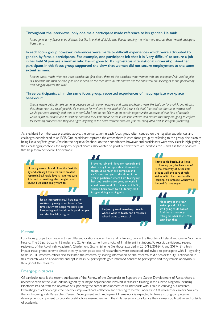#### **Throughout the interviews, only one male participant made reference to his gender. He said:**

*It has gone in my favour a lot of times, but like in a kind of visible way. People treating me with more respect than I would anticipate from them.*

**In each focus group however, references were made to difficult experiences which were attributed to gender, by female participants. For example, one participant felt that it is 'very difficult' to secure a job in her field 'if you are a woman who hasn't gone to X (high-status international university)'. Another participant in this focus group supported the view that women did not secure employment to the same extent as men:**

I mean pretty much when we were postdoc the first time I think all the postdocs were women with one exception. We used to joke *is it because the men all have jobs or is it because the men have all left and we are the ones who are sticking at it and persevering and banging against the wall?*

#### **Three participants, all in the same focus group, reported experiences of inappropriate workplace behaviour:**

*That is where being female came in because certain senior lecturers and some professors were like 'Let's go for a drink and discuss this, about how you could possibly do a lecture for me' and it was kind of like 'I can't do that'. You can't do that as a woman and would you have actually said that to a man?...So, I had to not follow up on certain opportunities because of that kind of attitude, which is just so archaic and frustrating, and then they talk about all these consent lectures and classes that they are going to enforce for incoming students and they don't give anything to the older lecturers who are just too antiquated and so it's quite frustrating.*

As is evident from the data presented above, the conversation in each focus group often centred on the negative experiences and challenges experienced as an ECR. One participant captured the atmosphere in each focus group by referring to the group discussion as being like a '*self-help group*'. Despite the negative feedback on their experiences however, and participants were very clear in highlighting their challenging contexts, the majority of participants also wanted to point out that there are positives too – and it is these positives that help them persevere. For example:



#### Method

Four focus groups took place in three different locations across the island of Ireland; two in the Republic of Ireland and one in Northern Ireland. The 35 participants, 13 males and 22 females, came from a total of 11 different institutions. To recruit participants, recent recipients of the Royal Irish Academy's Charlemont Grants Scheme (i.e. those awarded in 2015/16, 2016/17, and 2017/18), a highimpact travel grants scheme aimed at early-career postdoctoral researchers, were contacted and invited to participate with 11 agreeing to do so. HEI research offices also facilitated the research by sharing information on the research as did senior faculty. Participation in this research was on a voluntary and opt-in basis. All participants gave informed consent to participate and they remain anonymous throughout this research.

#### Emerging initiatives

Of particular note is the recent publication of the Review of the Concordat to Support the Career Development of Researchers, a revised version of the 2008 edition signed by all major organisations involved in research training in the United Kingdom, including Northern Ireland, with the objective of supporting the career development of all individuals with a role in carrying out research. Interestingly, it acknowledges the need for improved data collection and tracking to better understand UK researcher careers. Similarly, the forthcoming Irish Researcher Career Development and Employment Framework is expected to have a strong competence development component to provide postdoctoral researchers with the skills necessary to advance their careers both within and outside of academia.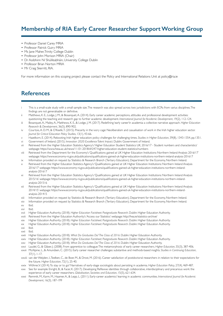## **Membership of RIA Early Career Researcher Support Working Group**

- Professor Daniel Carey MRIA
- Professor Patrick Guiry MRIA
- Ms Jane Maher, Trinity College Dublin
- Professor John Morison MRIA (Chair)
- Dr Aoibhinn Ní Shúilleabháin, University College Dublin
- Professor Brian Norton MRIA
- Mr Craig Skerritt, RIA.

For more information on this scoping project please contact the Policy and International Relations Unit at policy@ria.ie

### **References**

- i This is a small-scale study with a small sample size. The research was also spread across two jurisdictions with ECRs from varius disciplines. The findings are not generalisable or definitive.
- ii Matthews, K. E., Lodge, J. M., & Bosanquet, A. (2014). Early career academic perceptions, attitudes and professional development activities:
- questioning the teaching and research gap to further academic development. *International Journal for Academic Development*, 19(2), 112-124. iii Bosanquet, A., Mailey, A., Matthews, K. E., & Lodge, J. M. (2017). Redefining 'early career'in academia: a collective narrative approach. *Higher Education Research & Development*, 36(5), 890-902.
- iv Courtois, A. D. M., & O'Keefe, T. (2015). Precarity in the ivory cage: Neoliberalism and casualisation of work in the Irish higher education sector. *Journal for Critical Education Policy Studies*, 13(1), 43-66.
- v Hazelkorn, E. (2014). Rebooting Irish higher education: policy challenges for challenging times. *Studies in Higher Education*, 39(8), 1343-1354, pp.1351.
- vi Government of Ireland. (2015). *Innovation 2020: Excellence Talent Impact*. Dublin: Government of Ireland. vii Retrieved from the Higher Education Statistics Agency's 'Higher Education Student Statistics: UK, 2016/17 - Student numbers and characteristics'
- webpage: https://www.hesa.ac.uk/news/11-01-2018/sfr247-higher-education-student-statistics/numbers
- viii Retrieved from the Department for the Economy's 'Qualifications gained at UK Higher Education Institutions: Northern Ireland Analysis 2016/17' webpage: https://www.economy-ni.gov.uk/publications/qualifications-gained-uk-higher-education-institutions-northern-ireland-analysis-201617
- ix Information provided on request by Statistics & Research Branch (Tertiary Education), Department for the Economy, Northern Ireland. Retrieved from the Higher Education Statistics Agency's 'Qualifications gained at UK Higher Education Institutions: Northern Ireland Analysis
- 2016/17' webpage: https://www.economy-ni.gov.uk/publications/qualifications-gained-uk-higher-education-institutions-northern-irelandanalysis-201617
- xi Retrieved from the Higher Education Statistics Agency's 'Qualifications gained at UK Higher Education Institutions: Northern Ireland Analysis 2015/16' webpage: https://www.economy-ni.gov.uk/publications/qualifications-gained-uk-higher-education-institutions-northern-irelandanalysis-201516
- xii Retrieved from the Higher Education Statistics Agency's 'Qualifications gained at UK Higher Education Institutions: Northern Ireland Analysis 2014/15' webpage: https://www.economy-ni.gov.uk/publications/qualifications-gained-uk-higher-education-institutions-northern-irelandanalysis-201415
- xiii Information provided on request by Statistics & Research Branch (Tertiary Education), Department for the Economy, Northern Ireland.
- xiv Information provided on request by Statistics & Research Branch (Tertiary Education), Department for the Economy, Northern Ireland. xv Ibid.
- xvi Ibid.
- xvii Higher Education Authority. (2018). *Higher Education Factsheet: Postgraduate Research*. Dublin: Higher Education Authority.
- xviii Retrieved from the Higher Education Authority's 'Access our Statistics' webpage: http://hea.ie/statistics-archive/
- xix Higher Education Authority. (2018). *Higher Education Factsheet: Postgraduate Research*. Dublin: Higher Education Authority.
- xx Higher Education Authority. (2018). *Higher Education Factsheet: Postgraduate Research*. Dublin: Higher Education Authority.
- xxi Ibid.
- xxii Ibid.
- xxiii Higher Education Authority. (2018). *What Do Graduates Do? The Class of 2016*. Dublin: Higher Education Authority.
- xxiv Higher Education Authority. (2018). *Higher Education Factsheet: Postgraduate Research*. Dublin: Higher Education Authority.
- xxv Higher Education Authority. (2018). *What Do Graduates Do? The Class of 2016*. Dublin: Higher Education Authority.
- xxvi Laudel, G., & Gläser, J. (2008). From apprentice to colleague: The metamorphosis of early career researchers. *Higher Education*, 55(3), 387-406.
- xxvii McAlpine, L., & Amundsen, C. (2015). Early career researcher challenges: substantive and methods-based insights. *Studies in Continuing Education*, 37(1), 1-17.
- xxviii van der Weijden, I., Teelken, C., de Boer, M., & Drost, M. (2016). Career satisfaction of postdoctoral researchers in relation to their expectations for the future. *Higher Education*, 72(1), 25-40.
- xxix Wöhrer, V. (2014). To stay or to go? Narratives of early-stage sociologists about persisting in academia. *Higher Education Policy*, 27(4), 469-487.
- xxx See for example Enright, B., & Facer, K. (2017). Developing Reflexive identities through collaborative, interdisciplinary and precarious work: the experience of early career researchers. *Globalisation, Societies and Education*, 15(5), 621-634.
- xxxi Remmik, M., Karm, M., Haamer, A., & Lepp, L. (2011). Early-career academics' learning in academic communities. *International Journal for Academic Development*, 16(3), 187-199